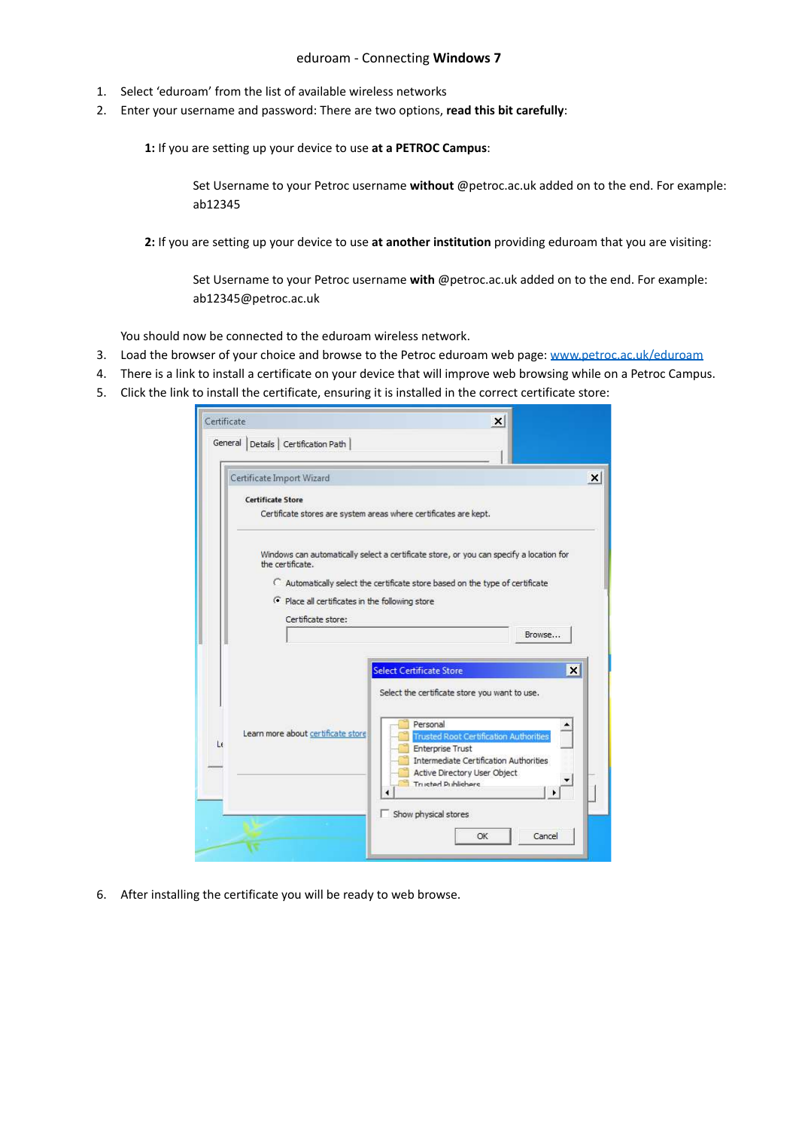## eduroam - Connecting **Windows 7**

- 1. Select 'eduroam' from the list of available wireless networks
- 2. Enter your username and password: There are two options, **read this bit carefully**:

**1:** If you are setting up your device to use **at a PETROC Campus**:

Set Username to your Petroc username **without** @petroc.ac.uk added on to the end. For example: ab12345

**2:** If you are setting up your device to use **at another institution** providing eduroam that you are visiting:

Set Username to your Petroc username **with** @petroc.ac.uk added on to the end. For example: ab12345@petroc.ac.uk

You should now be connected to the eduroam wireless network.

- 3. Load the browser of your choice and browse to the Petroc eduroam web page: [www.petroc.ac.uk/eduroam](http://www.petroc.ac.uk/eduroam)
- 4. There is a link to install a certificate on your device that will improve web browsing while on a Petroc Campus.
- 5. Click the link to install the certificate, ensuring it is installed in the correct certificate store:

| Certificate Import Wizard                                                               |                                                                                                                                                                                                                                                                                                       |
|-----------------------------------------------------------------------------------------|-------------------------------------------------------------------------------------------------------------------------------------------------------------------------------------------------------------------------------------------------------------------------------------------------------|
| <b>Certificate Store</b>                                                                | Certificate stores are system areas where certificates are kept.                                                                                                                                                                                                                                      |
| the certificate.<br>Place all certificates in the following store<br>Certificate store: | Windows can automatically select a certificate store, or you can specify a location for<br>C Automatically select the certificate store based on the type of certificate<br>Browse                                                                                                                    |
| Learn more about certificate store                                                      | <b>Select Certificate Store</b><br>$\boldsymbol{\mathsf{x}}$<br>Select the certificate store you want to use.<br>Personal<br><b>Trusted Root Certification Authorities</b><br><b>Enterprise Trust</b><br>Intermediate Certification Authorities<br>Active Directory User Object<br>Trusted Publishers |

6. After installing the certificate you will be ready to web browse.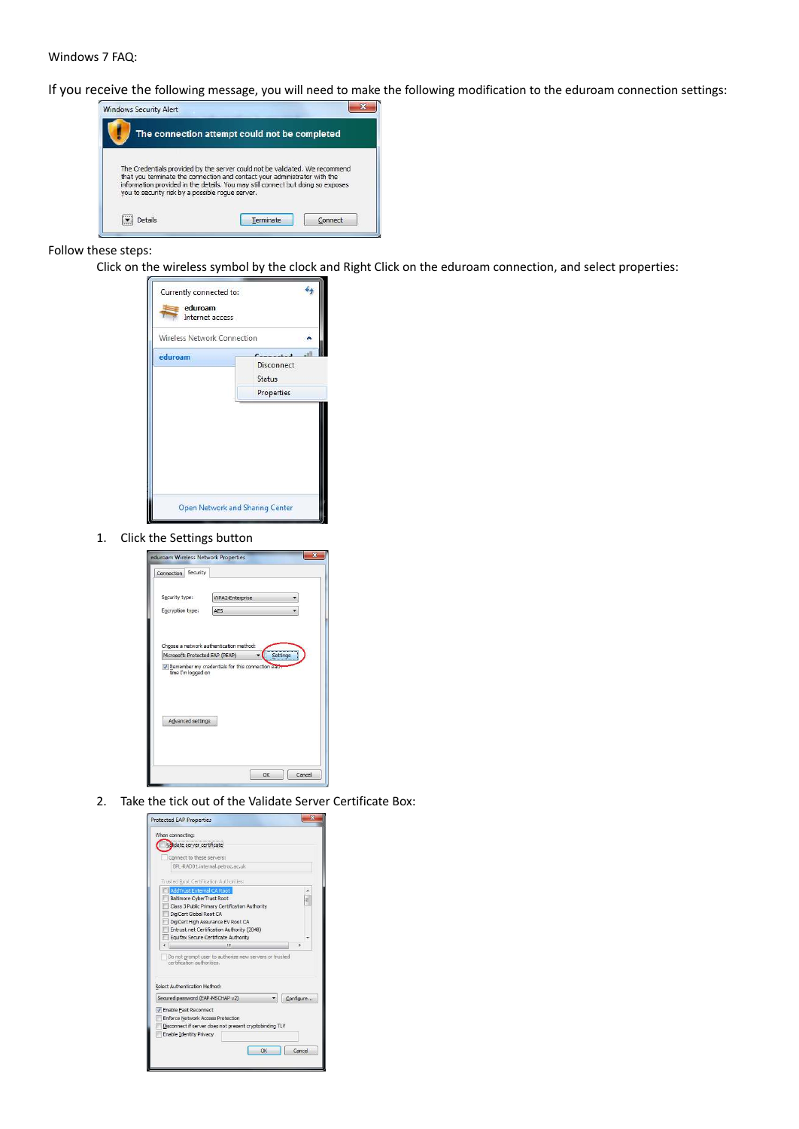## Windows 7 FAQ:

If you receive the following message, you will need to make the following modification to the eduroam connection settings:



## Follow these steps:

Click on the wireless symbol by the clock and Right Click on the eduroam connection, and select properties:



1. Click the Settings button

| eduroam Wireless Network Properties |                                         |          |
|-------------------------------------|-----------------------------------------|----------|
| Security<br>Connection              |                                         |          |
| Security type:<br>Encryption type:  | WPA2-Enterprise<br>AFS                  |          |
|                                     |                                         |          |
|                                     |                                         |          |
| Microsoft: Protected EAP (PEAP)     | Choose a network authentication method: | Settings |
| time I'm logged on                  |                                         |          |
|                                     |                                         |          |
| Advanced settings                   |                                         |          |
|                                     |                                         |          |
|                                     |                                         |          |
|                                     |                                         |          |
|                                     | OK                                      | Cancel   |

2. Take the tick out of the Validate Server Certificate Box: